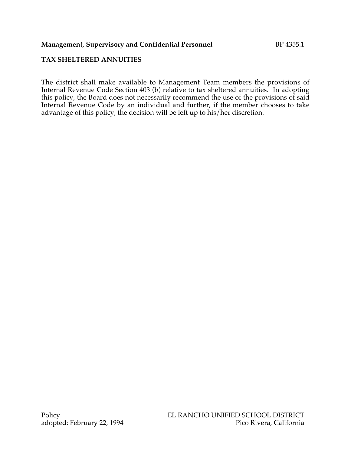#### **Management, Supervisory and Confidential Personnel BP 4355.1**

# **TAX SHELTERED ANNUITIES**

The district shall make available to Management Team members the provisions of Internal Revenue Code Section 403 (b) relative to tax sheltered annuities. In adopting this policy, the Board does not necessarily recommend the use of the provisions of said Internal Revenue Code by an individual and further, if the member chooses to take advantage of this policy, the decision will be left up to his/her discretion.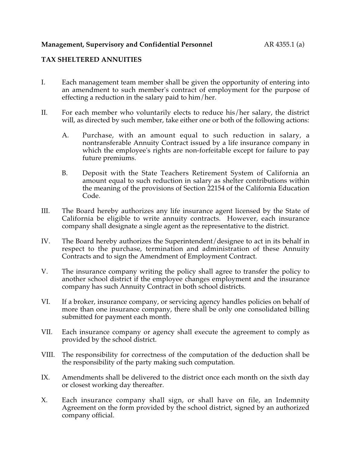# **TAX SHELTERED ANNUITIES**

- I. Each management team member shall be given the opportunity of entering into an amendment to such member's contract of employment for the purpose of effecting a reduction in the salary paid to him/her.
- II. For each member who voluntarily elects to reduce his/her salary, the district will, as directed by such member, take either one or both of the following actions:
	- A. Purchase, with an amount equal to such reduction in salary, a nontransferable Annuity Contract issued by a life insurance company in which the employee's rights are non-forfeitable except for failure to pay future premiums.
	- B. Deposit with the State Teachers Retirement System of California an amount equal to such reduction in salary as shelter contributions within the meaning of the provisions of Section 22154 of the California Education Code.
- III. The Board hereby authorizes any life insurance agent licensed by the State of California be eligible to write annuity contracts. However, each insurance company shall designate a single agent as the representative to the district.
- IV. The Board hereby authorizes the Superintendent/designee to act in its behalf in respect to the purchase, termination and administration of these Annuity Contracts and to sign the Amendment of Employment Contract.
- V. The insurance company writing the policy shall agree to transfer the policy to another school district if the employee changes employment and the insurance company has such Annuity Contract in both school districts.
- VI. If a broker, insurance company, or servicing agency handles policies on behalf of more than one insurance company, there shall be only one consolidated billing submitted for payment each month.
- VII. Each insurance company or agency shall execute the agreement to comply as provided by the school district.
- VIII. The responsibility for correctness of the computation of the deduction shall be the responsibility of the party making such computation.
- IX. Amendments shall be delivered to the district once each month on the sixth day or closest working day thereafter.
- X. Each insurance company shall sign, or shall have on file, an Indemnity Agreement on the form provided by the school district, signed by an authorized company official.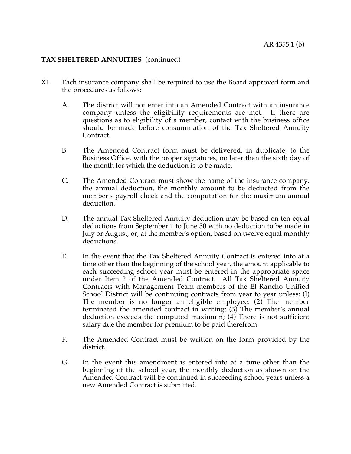#### **TAX SHELTERED ANNUITIES** (continued)

- XI. Each insurance company shall be required to use the Board approved form and the procedures as follows:
	- A. The district will not enter into an Amended Contract with an insurance company unless the eligibility requirements are met. If there are questions as to eligibility of a member, contact with the business office should be made before consummation of the Tax Sheltered Annuity Contract.
	- B. The Amended Contract form must be delivered, in duplicate, to the Business Office, with the proper signatures, no later than the sixth day of the month for which the deduction is to be made.
	- C. The Amended Contract must show the name of the insurance company, the annual deduction, the monthly amount to be deducted from the member's payroll check and the computation for the maximum annual deduction.
	- D. The annual Tax Sheltered Annuity deduction may be based on ten equal deductions from September 1 to June 30 with no deduction to be made in July or August, or, at the member's option, based on twelve equal monthly deductions.
	- E. In the event that the Tax Sheltered Annuity Contract is entered into at a time other than the beginning of the school year, the amount applicable to each succeeding school year must be entered in the appropriate space under Item 2 of the Amended Contract. All Tax Sheltered Annuity Contracts with Management Team members of the El Rancho Unified School District will be continuing contracts from year to year unless: (l) The member is no longer an eligible employee; (2) The member terminated the amended contract in writing; (3) The member's annual deduction exceeds the computed maximum; (4) There is not sufficient salary due the member for premium to be paid therefrom.
	- F. The Amended Contract must be written on the form provided by the district.
	- G. In the event this amendment is entered into at a time other than the beginning of the school year, the monthly deduction as shown on the Amended Contract will be continued in succeeding school years unless a new Amended Contract is submitted.